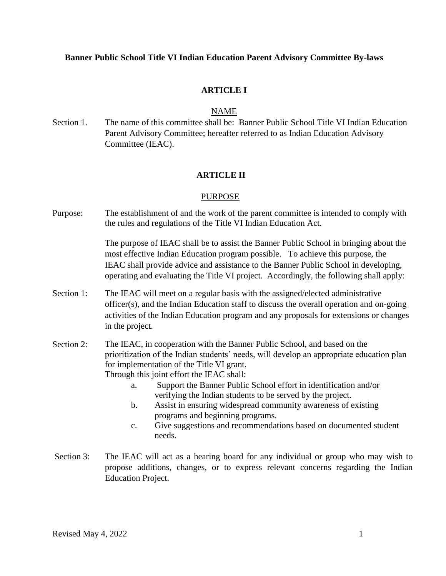## **Banner Public School Title VI Indian Education Parent Advisory Committee By-laws**

# **ARTICLE I**

### NAME

Section 1. The name of this committee shall be: Banner Public School Title VI Indian Education Parent Advisory Committee; hereafter referred to as Indian Education Advisory Committee (IEAC).

## **ARTICLE II**

### PURPOSE

Purpose: The establishment of and the work of the parent committee is intended to comply with the rules and regulations of the Title VI Indian Education Act.

> The purpose of IEAC shall be to assist the Banner Public School in bringing about the most effective Indian Education program possible. To achieve this purpose, the IEAC shall provide advice and assistance to the Banner Public School in developing, operating and evaluating the Title VI project. Accordingly, the following shall apply:

- Section 1: The IEAC will meet on a regular basis with the assigned/elected administrative officer(s), and the Indian Education staff to discuss the overall operation and on-going activities of the Indian Education program and any proposals for extensions or changes in the project.
- Section 2: The IEAC, in cooperation with the Banner Public School, and based on the prioritization of the Indian students' needs, will develop an appropriate education plan for implementation of the Title VI grant. Through this joint effort the IEAC shall:
	- a. Support the Banner Public School effort in identification and/or verifying the Indian students to be served by the project.
	- b. Assist in ensuring widespread community awareness of existing programs and beginning programs.
	- c. Give suggestions and recommendations based on documented student needs.
- Section 3: The IEAC will act as a hearing board for any individual or group who may wish to propose additions, changes, or to express relevant concerns regarding the Indian Education Project.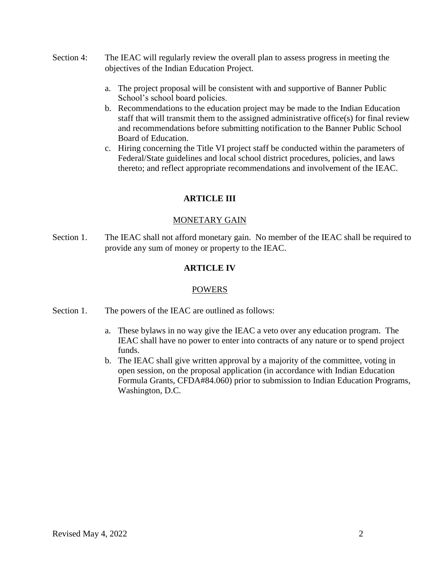- Section 4: The IEAC will regularly review the overall plan to assess progress in meeting the objectives of the Indian Education Project.
	- a. The project proposal will be consistent with and supportive of Banner Public School's school board policies.
	- b. Recommendations to the education project may be made to the Indian Education staff that will transmit them to the assigned administrative office(s) for final review and recommendations before submitting notification to the Banner Public School Board of Education.
	- c. Hiring concerning the Title VI project staff be conducted within the parameters of Federal/State guidelines and local school district procedures, policies, and laws thereto; and reflect appropriate recommendations and involvement of the IEAC.

# **ARTICLE III**

## MONETARY GAIN

Section 1. The IEAC shall not afford monetary gain. No member of the IEAC shall be required to provide any sum of money or property to the IEAC.

# **ARTICLE IV**

## POWERS

- Section 1. The powers of the IEAC are outlined as follows:
	- a. These bylaws in no way give the IEAC a veto over any education program. The IEAC shall have no power to enter into contracts of any nature or to spend project funds.
	- b. The IEAC shall give written approval by a majority of the committee, voting in open session, on the proposal application (in accordance with Indian Education Formula Grants, CFDA#84.060) prior to submission to Indian Education Programs, Washington, D.C.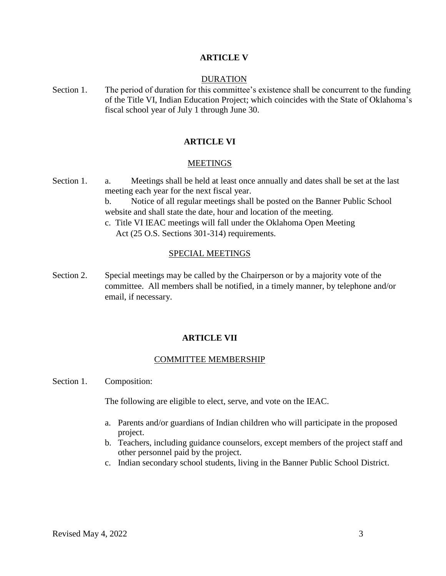### **ARTICLE V**

#### DURATION

Section 1. The period of duration for this committee's existence shall be concurrent to the funding of the Title VI, Indian Education Project; which coincides with the State of Oklahoma's fiscal school year of July 1 through June 30.

### **ARTICLE VI**

#### **MEETINGS**

- Section 1. a. Meetings shall be held at least once annually and dates shall be set at the last meeting each year for the next fiscal year. b. Notice of all regular meetings shall be posted on the Banner Public School website and shall state the date, hour and location of the meeting. c. Title VI IEAC meetings will fall under the Oklahoma Open Meeting
	- Act (25 O.S. Sections 301-314) requirements.

#### SPECIAL MEETINGS

Section 2. Special meetings may be called by the Chairperson or by a majority vote of the committee. All members shall be notified, in a timely manner, by telephone and/or email, if necessary.

### **ARTICLE VII**

### COMMITTEE MEMBERSHIP

Section 1. Composition:

The following are eligible to elect, serve, and vote on the IEAC.

- a. Parents and/or guardians of Indian children who will participate in the proposed project.
- b. Teachers, including guidance counselors, except members of the project staff and other personnel paid by the project.
- c. Indian secondary school students, living in the Banner Public School District.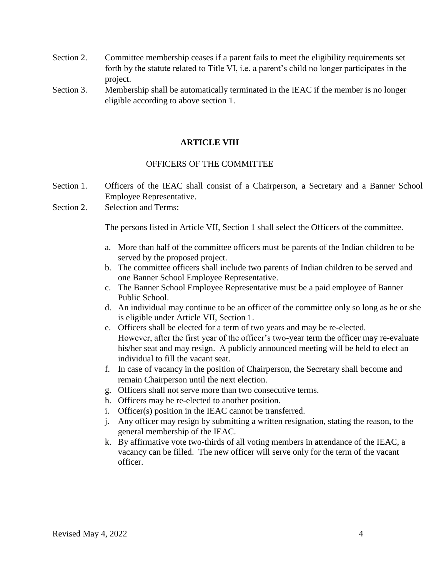- Section 2. Committee membership ceases if a parent fails to meet the eligibility requirements set forth by the statute related to Title VI, i.e. a parent's child no longer participates in the project.
- Section 3. Membership shall be automatically terminated in the IEAC if the member is no longer eligible according to above section 1.

# **ARTICLE VIII**

## OFFICERS OF THE COMMITTEE

- Section 1. Officers of the IEAC shall consist of a Chairperson, a Secretary and a Banner School Employee Representative.
- Section 2. Selection and Terms:

The persons listed in Article VII, Section 1 shall select the Officers of the committee.

- a. More than half of the committee officers must be parents of the Indian children to be served by the proposed project.
- b. The committee officers shall include two parents of Indian children to be served and one Banner School Employee Representative.
- c. The Banner School Employee Representative must be a paid employee of Banner Public School.
- d. An individual may continue to be an officer of the committee only so long as he or she is eligible under Article VII, Section 1.
- e. Officers shall be elected for a term of two years and may be re-elected. However, after the first year of the officer's two-year term the officer may re-evaluate his/her seat and may resign. A publicly announced meeting will be held to elect an individual to fill the vacant seat.
- f. In case of vacancy in the position of Chairperson, the Secretary shall become and remain Chairperson until the next election.
- g. Officers shall not serve more than two consecutive terms.
- h. Officers may be re-elected to another position.
- i. Officer(s) position in the IEAC cannot be transferred.
- j. Any officer may resign by submitting a written resignation, stating the reason, to the general membership of the IEAC.
- k. By affirmative vote two-thirds of all voting members in attendance of the IEAC, a vacancy can be filled. The new officer will serve only for the term of the vacant officer.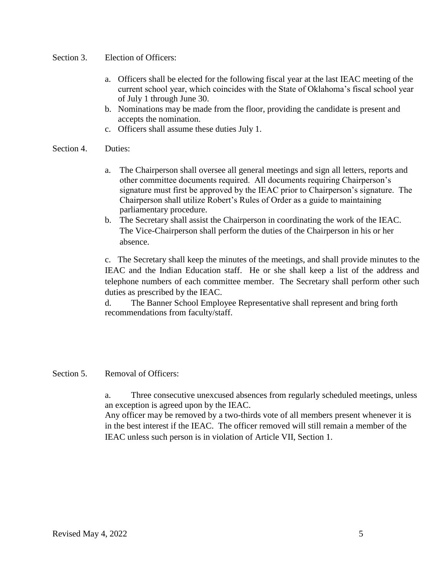- Section 3. Election of Officers:
	- a. Officers shall be elected for the following fiscal year at the last IEAC meeting of the current school year, which coincides with the State of Oklahoma's fiscal school year of July 1 through June 30.
	- b. Nominations may be made from the floor, providing the candidate is present and accepts the nomination.
	- c. Officers shall assume these duties July 1.
- Section 4. Duties:
	- a. The Chairperson shall oversee all general meetings and sign all letters, reports and other committee documents required. All documents requiring Chairperson's signature must first be approved by the IEAC prior to Chairperson's signature. The Chairperson shall utilize Robert's Rules of Order as a guide to maintaining parliamentary procedure.
	- b. The Secretary shall assist the Chairperson in coordinating the work of the IEAC. The Vice-Chairperson shall perform the duties of the Chairperson in his or her absence.

c. The Secretary shall keep the minutes of the meetings, and shall provide minutes to the IEAC and the Indian Education staff. He or she shall keep a list of the address and telephone numbers of each committee member. The Secretary shall perform other such duties as prescribed by the IEAC.

d. The Banner School Employee Representative shall represent and bring forth recommendations from faculty/staff.

## Section 5. Removal of Officers:

a. Three consecutive unexcused absences from regularly scheduled meetings, unless an exception is agreed upon by the IEAC.

Any officer may be removed by a two-thirds vote of all members present whenever it is in the best interest if the IEAC. The officer removed will still remain a member of the IEAC unless such person is in violation of Article VII, Section 1.